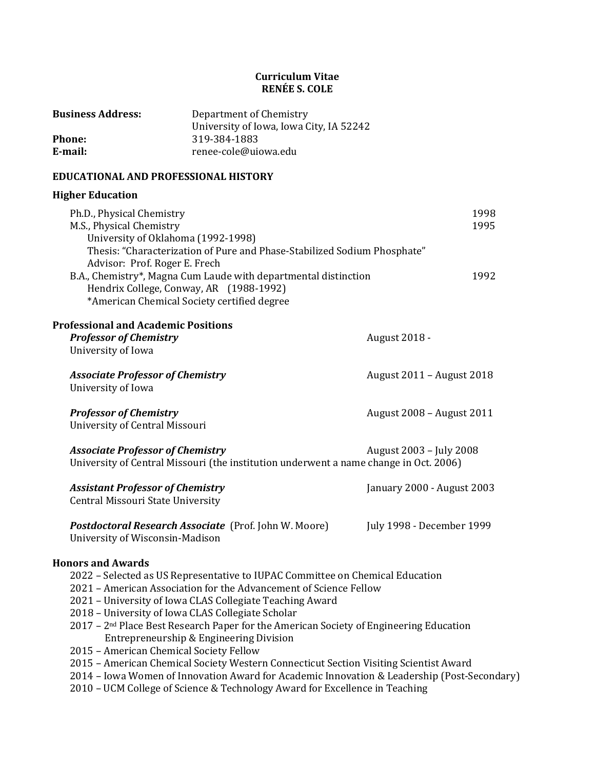## **Curriculum Vitae RENÉE S. COLE**

| <b>Business Address:</b> | Department of Chemistry                 |
|--------------------------|-----------------------------------------|
|                          | University of Iowa, Iowa City, IA 52242 |
| <b>Phone:</b>            | 319-384-1883                            |
| E-mail:                  | renee-cole@uiowa.edu                    |

# **EDUCATIONAL AND PROFESSIONAL HISTORY**

# **Higher Education**

| Ph.D., Physical Chemistry<br>M.S., Physical Chemistry<br>University of Oklahoma (1992-1998)<br>Advisor: Prof. Roger E. Frech<br>B.A., Chemistry*, Magna Cum Laude with departmental distinction<br>Hendrix College, Conway, AR (1988-1992)<br>*American Chemical Society certified degree                                                                                                                                                                                                                                                                                                                                                                                                                                                                          | Thesis: "Characterization of Pure and Phase-Stabilized Sodium Phosphate" | 1998<br>1995<br>1992       |
|--------------------------------------------------------------------------------------------------------------------------------------------------------------------------------------------------------------------------------------------------------------------------------------------------------------------------------------------------------------------------------------------------------------------------------------------------------------------------------------------------------------------------------------------------------------------------------------------------------------------------------------------------------------------------------------------------------------------------------------------------------------------|--------------------------------------------------------------------------|----------------------------|
| <b>Professional and Academic Positions</b><br><b>Professor of Chemistry</b><br>University of Iowa                                                                                                                                                                                                                                                                                                                                                                                                                                                                                                                                                                                                                                                                  |                                                                          | August 2018 -              |
| <b>Associate Professor of Chemistry</b><br>University of Iowa                                                                                                                                                                                                                                                                                                                                                                                                                                                                                                                                                                                                                                                                                                      |                                                                          | August 2011 - August 2018  |
| <b>Professor of Chemistry</b><br>University of Central Missouri                                                                                                                                                                                                                                                                                                                                                                                                                                                                                                                                                                                                                                                                                                    |                                                                          | August 2008 - August 2011  |
| <b>Associate Professor of Chemistry</b><br>University of Central Missouri (the institution underwent a name change in Oct. 2006)                                                                                                                                                                                                                                                                                                                                                                                                                                                                                                                                                                                                                                   |                                                                          | August 2003 - July 2008    |
| <b>Assistant Professor of Chemistry</b><br>Central Missouri State University                                                                                                                                                                                                                                                                                                                                                                                                                                                                                                                                                                                                                                                                                       |                                                                          | January 2000 - August 2003 |
| Postdoctoral Research Associate (Prof. John W. Moore)<br>University of Wisconsin-Madison                                                                                                                                                                                                                                                                                                                                                                                                                                                                                                                                                                                                                                                                           |                                                                          | July 1998 - December 1999  |
| <b>Honors and Awards</b><br>2022 - Selected as US Representative to IUPAC Committee on Chemical Education<br>2021 - American Association for the Advancement of Science Fellow<br>2021 - University of Iowa CLAS Collegiate Teaching Award<br>2018 - University of Iowa CLAS Collegiate Scholar<br>2017 - 2 <sup>nd</sup> Place Best Research Paper for the American Society of Engineering Education<br>Entrepreneurship & Engineering Division<br>2015 - American Chemical Society Fellow<br>2015 - American Chemical Society Western Connecticut Section Visiting Scientist Award<br>2014 - Iowa Women of Innovation Award for Academic Innovation & Leadership (Post-Secondary)<br>2010 - UCM College of Science & Technology Award for Excellence in Teaching |                                                                          |                            |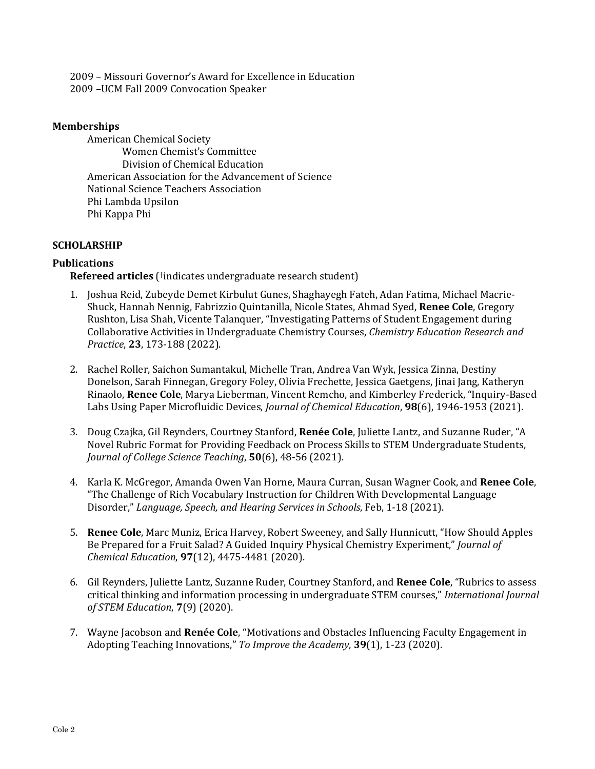2009 – Missouri Governor's Award for Excellence in Education 2009 –UCM Fall 2009 Convocation Speaker

#### **Memberships**

American Chemical Society Women Chemist's Committee Division of Chemical Education American Association for the Advancement of Science National Science Teachers Association Phi Lambda Upsilon Phi Kappa Phi

## **SCHOLARSHIP**

## **Publications**

**Refereed articles** (†indicates undergraduate research student)

- 1. Joshua Reid, Zubeyde Demet Kirbulut Gunes, Shaghayegh Fateh, Adan Fatima, Michael Macrie-Shuck, Hannah Nennig, Fabrizzio Quintanilla, Nicole States, Ahmad Syed, **Renee Cole**, Gregory Rushton, Lisa Shah, Vicente Talanquer, "Investigating Patterns of Student Engagement during Collaborative Activities in Undergraduate Chemistry Courses, *Chemistry Education Research and Practice*, **23**, 173-188 (2022).
- 2. Rachel Roller, Saichon Sumantakul, Michelle Tran, Andrea Van Wyk, Jessica Zinna, Destiny Donelson, Sarah Finnegan, Gregory Foley, Olivia Frechette, Jessica Gaetgens, Jinai Jang, Katheryn Rinaolo, **Renee Cole**, Marya Lieberman, Vincent Remcho, and Kimberley Frederick, "Inquiry-Based Labs Using Paper Microfluidic Devices, *Journal of Chemical Education*, **98**(6), 1946-1953 (2021).
- 3. Doug Czajka, Gil Reynders, Courtney Stanford, **Renée Cole**, Juliette Lantz, and Suzanne Ruder, "A Novel Rubric Format for Providing Feedback on Process Skills to STEM Undergraduate Students, *Journal of College Science Teaching*, **50**(6), 48-56 (2021).
- 4. Karla K. McGregor, Amanda Owen Van Horne, Maura Curran, Susan Wagner Cook, and **Renee Cole**, "The Challenge of Rich Vocabulary Instruction for Children With Developmental Language Disorder," *Language, Speech, and Hearing Services in Schools*, Feb, 1-18 (2021).
- 5. **Renee Cole**, Marc Muniz, Erica Harvey, Robert Sweeney, and Sally Hunnicutt, "How Should Apples Be Prepared for a Fruit Salad? A Guided Inquiry Physical Chemistry Experiment," *Journal of Chemical Education*, **97**(12), 4475-4481 (2020).
- 6. Gil Reynders, Juliette Lantz, Suzanne Ruder, Courtney Stanford, and **Renee Cole**, "Rubrics to assess critical thinking and information processing in undergraduate STEM courses," *International Journal of STEM Education*, **7**(9) (2020).
- 7. Wayne Jacobson and **Renée Cole**, "Motivations and Obstacles Influencing Faculty Engagement in Adopting Teaching Innovations," *To Improve the Academy*, **39**(1), 1-23 (2020).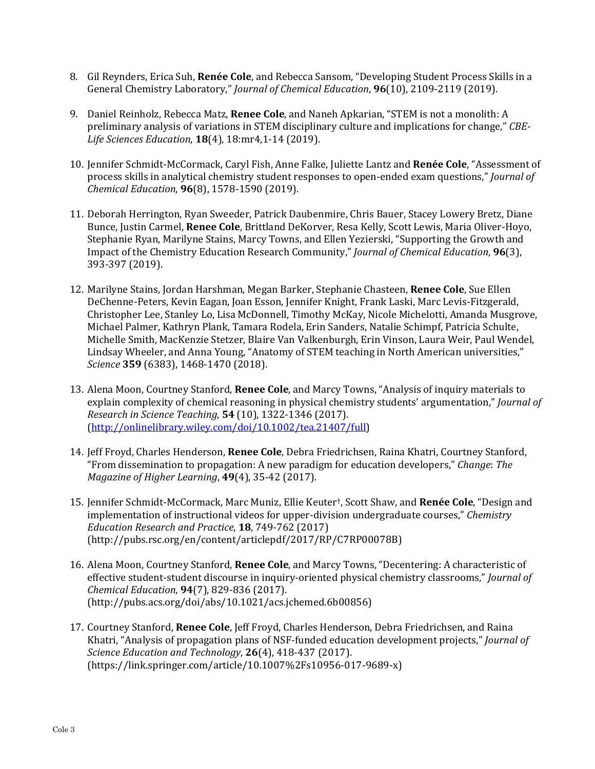- 8. Gil Reynders, Erica Suh, **Renée Cole**, and Rebecca Sansom, "Developing Student Process Skills in a General Chemistry Laboratory," *Journal of Chemical Education*, **96**(10), 2109-2119 (2019).
- 9. Daniel Reinholz, Rebecca Matz, **Renee Cole**, and Naneh Apkarian, "STEM is not a monolith: A preliminary analysis of variations in STEM disciplinary culture and implications for change," *CBE‐ Life Sciences Education*, **18**(4), 18:mr4,1-14 (2019).
- 10. Jennifer Schmidt-McCormack, Caryl Fish, Anne Falke, Juliette Lantz and **Renée Cole**, "Assessment of process skills in analytical chemistry student responses to open-ended exam questions," *Journal of Chemical Education*, **96**(8), 1578-1590 (2019).
- 11. Deborah Herrington, Ryan Sweeder, Patrick Daubenmire, Chris Bauer, Stacey Lowery Bretz, Diane Bunce, Justin Carmel, **Renee Cole**, Brittland DeKorver, Resa Kelly, Scott Lewis, Maria Oliver-Hoyo, Stephanie Ryan, Marilyne Stains, Marcy Towns, and Ellen Yezierski, "Supporting the Growth and Impact of the Chemistry Education Research Community," *Journal of Chemical Education*, **96**(3), 393-397 (2019).
- 12. Marilyne Stains, Jordan Harshman, Megan Barker, Stephanie Chasteen, **Renee Cole**, Sue Ellen DeChenne-Peters, Kevin Eagan, Joan Esson, Jennifer Knight, Frank Laski, Marc Levis-Fitzgerald, Christopher Lee, Stanley Lo, Lisa McDonnell, Timothy McKay, Nicole Michelotti, Amanda Musgrove, Michael Palmer, Kathryn Plank, Tamara Rodela, Erin Sanders, Natalie Schimpf, Patricia Schulte, Michelle Smith, MacKenzie Stetzer, Blaire Van Valkenburgh, Erin Vinson, Laura Weir, Paul Wendel, Lindsay Wheeler, and Anna Young, "Anatomy of STEM teaching in North American universities," *Science* **359** (6383), 1468-1470 (2018).
- 13. Alena Moon, Courtney Stanford, **Renee Cole**, and Marcy Towns, "Analysis of inquiry materials to explain complexity of chemical reasoning in physical chemistry students' argumentation," *Journal of Research in Science Teaching*, **54** (10), 1322-1346 (2017). (http://onlinelibrary.wiley.com/doi/10.1002/tea.21407/full)
- 14. Jeff Froyd, Charles Henderson, **Renee Cole**, Debra Friedrichsen, Raina Khatri, Courtney Stanford, "From dissemination to propagation: A new paradigm for education developers," *Change*: *The Magazine of Higher Learning*, **49**(4), 35-42 (2017).
- 15. Jennifer Schmidt-McCormack, Marc Muniz, Ellie Keuter†, Scott Shaw, and **Renée Cole**, "Design and implementation of instructional videos for upper-division undergraduate courses," *Chemistry Education Research and Practice*, **18**, 749-762 (2017) (http://pubs.rsc.org/en/content/articlepdf/2017/RP/C7RP00078B)
- 16. Alena Moon, Courtney Stanford, **Renee Cole**, and Marcy Towns, "Decentering: A characteristic of effective student-student discourse in inquiry-oriented physical chemistry classrooms," *Journal of Chemical Education*, **94**(7), 829-836 (2017). (http://pubs.acs.org/doi/abs/10.1021/acs.jchemed.6b00856)
- 17. Courtney Stanford, **Renee Cole**, Jeff Froyd, Charles Henderson, Debra Friedrichsen, and Raina Khatri, "Analysis of propagation plans of NSF-funded education development projects," *Journal of Science Education and Technology*, **26**(4), 418-437 (2017). (https://link.springer.com/article/10.1007%2Fs10956-017-9689-x)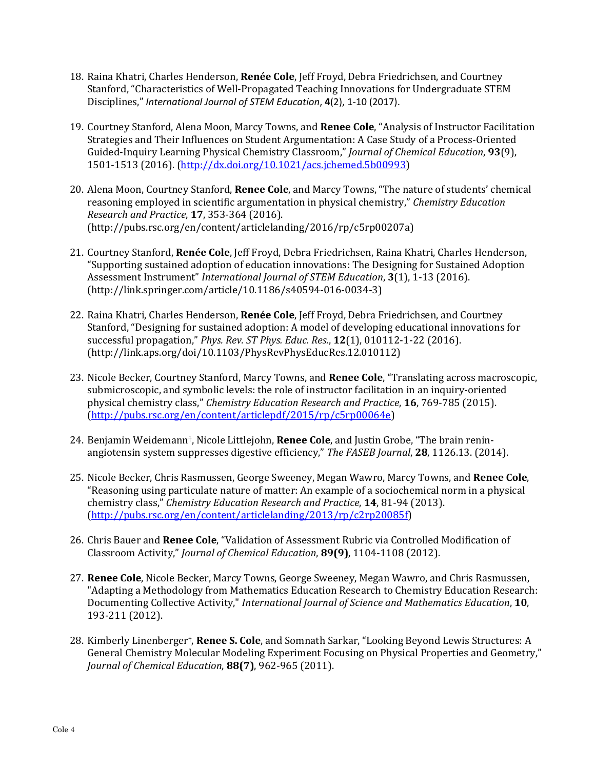- 18. Raina Khatri, Charles Henderson, **Renée Cole**, Jeff Froyd, Debra Friedrichsen, and Courtney Stanford, "Characteristics of Well-Propagated Teaching Innovations for Undergraduate STEM Disciplines," *International Journal of STEM Education*, **4**(2), 1‐10 (2017).
- 19. Courtney Stanford, Alena Moon, Marcy Towns, and **Renee Cole**, "Analysis of Instructor Facilitation Strategies and Their Influences on Student Argumentation: A Case Study of a Process-Oriented Guided-Inquiry Learning Physical Chemistry Classroom," *Journal of Chemical Education*, **93**(9), 1501-1513 (2016). (http://dx.doi.org/10.1021/acs.jchemed.5b00993)
- 20. Alena Moon, Courtney Stanford, **Renee Cole**, and Marcy Towns, "The nature of students' chemical reasoning employed in scientific argumentation in physical chemistry," *Chemistry Education Research and Practice*, **17**, 353-364 (2016). (http://pubs.rsc.org/en/content/articlelanding/2016/rp/c5rp00207a)
- 21. Courtney Stanford, **Renée Cole**, Jeff Froyd, Debra Friedrichsen, Raina Khatri, Charles Henderson, "Supporting sustained adoption of education innovations: The Designing for Sustained Adoption Assessment Instrument" *International Journal of STEM Education*, **3**(1), 1-13 (2016). (http://link.springer.com/article/10.1186/s40594-016-0034-3)
- 22. Raina Khatri, Charles Henderson, **Renée Cole**, Jeff Froyd, Debra Friedrichsen, and Courtney Stanford, "Designing for sustained adoption: A model of developing educational innovations for successful propagation," *Phys. Rev. ST Phys. Educ. Res.*, **12**(1), 010112-1-22 (2016). (http://link.aps.org/doi/10.1103/PhysRevPhysEducRes.12.010112)
- 23. Nicole Becker, Courtney Stanford, Marcy Towns, and **Renee Cole**, "Translating across macroscopic, submicroscopic, and symbolic levels: the role of instructor facilitation in an inquiry-oriented physical chemistry class," *Chemistry Education Research and Practice*, **16**, 769-785 (2015). (http://pubs.rsc.org/en/content/articlepdf/2015/rp/c5rp00064e)
- 24. Benjamin Weidemann†, Nicole Littlejohn, **Renee Cole**, and Justin Grobe, "The brain reninangiotensin system suppresses digestive efficiency," *The FASEB Journal*, **28**, 1126.13. (2014).
- 25. Nicole Becker, Chris Rasmussen, George Sweeney, Megan Wawro, Marcy Towns, and **Renee Cole**, "Reasoning using particulate nature of matter: An example of a sociochemical norm in a physical chemistry class," *Chemistry Education Research and Practice*, **14**, 81-94 (2013). (http://pubs.rsc.org/en/content/articlelanding/2013/rp/c2rp20085f)
- 26. Chris Bauer and **Renee Cole**, "Validation of Assessment Rubric via Controlled Modification of Classroom Activity," *Journal of Chemical Education*, **89(9)**, 1104-1108 (2012).
- 27. **Renee Cole**, Nicole Becker, Marcy Towns, George Sweeney, Megan Wawro, and Chris Rasmussen, "Adapting a Methodology from Mathematics Education Research to Chemistry Education Research: Documenting Collective Activity," *International Journal of Science and Mathematics Education*, **10**, 193-211 (2012).
- 28. Kimberly Linenberger†, **Renee S. Cole**, and Somnath Sarkar, "Looking Beyond Lewis Structures: A General Chemistry Molecular Modeling Experiment Focusing on Physical Properties and Geometry," *Journal of Chemical Education*, **88(7)**, 962-965 (2011).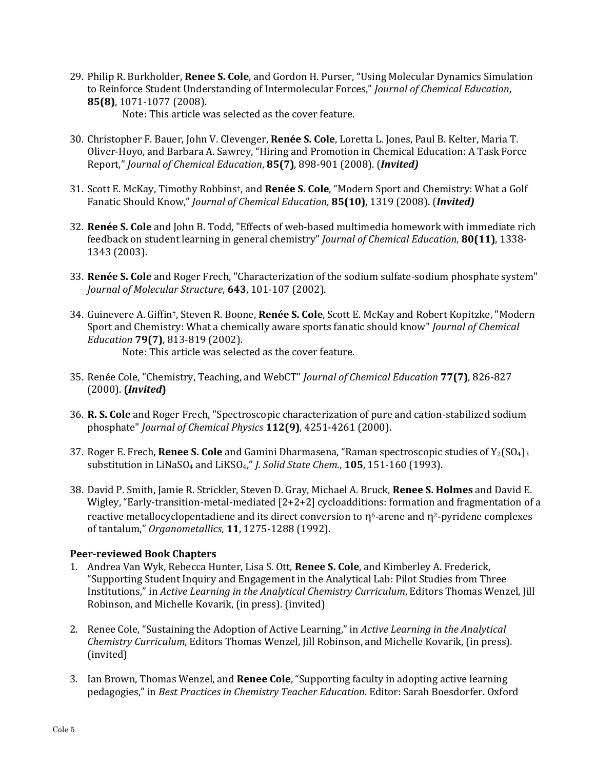29. Philip R. Burkholder, **Renee S. Cole**, and Gordon H. Purser, "Using Molecular Dynamics Simulation to Reinforce Student Understanding of Intermolecular Forces," *Journal of Chemical Education*, **85(8)**, 1071-1077 (2008).

Note: This article was selected as the cover feature.

- 30. Christopher F. Bauer, John V. Clevenger, **Renée S. Cole**, Loretta L. Jones, Paul B. Kelter, Maria T. Oliver-Hoyo, and Barbara A. Sawrey, "Hiring and Promotion in Chemical Education: A Task Force Report," *Journal of Chemical Education*, **85(7)**, 898-901 (2008). (*Invited)*
- 31. Scott E. McKay, Timothy Robbins†, and **Renée S. Cole**, "Modern Sport and Chemistry: What a Golf Fanatic Should Know," *Journal of Chemical Education*, **85(10)**, 1319 (2008). (*Invited)*
- 32. **Renée S. Cole** and John B. Todd, "Effects of web-based multimedia homework with immediate rich feedback on student learning in general chemistry" *Journal of Chemical Education*, **80(11)**, 1338- 1343 (2003).
- 33. **Renée S. Cole** and Roger Frech, "Characterization of the sodium sulfate-sodium phosphate system" *Journal of Molecular Structure*, **643**, 101-107 (2002).
- 34. Guinevere A. Giffin†, Steven R. Boone, **Renée S. Cole**, Scott E. McKay and Robert Kopitzke, "Modern Sport and Chemistry: What a chemically aware sports fanatic should know" *Journal of Chemical Education* **79(7)**, 813-819 (2002). Note: This article was selected as the cover feature.
- 35. Renée Cole, "Chemistry, Teaching, and WebCT" *Journal of Chemical Education* **77(7)**, 826-827 (2000). **(***Invited***)**
- 36. **R. S. Cole** and Roger Frech, "Spectroscopic characterization of pure and cation-stabilized sodium phosphate" *Journal of Chemical Physics* **112(9)**, 4251-4261 (2000).
- 37. Roger E. Frech, **Renee S. Cole** and Gamini Dharmasena, "Raman spectroscopic studies of Y2(SO4)3 substitution in LiNaSO4 and LiKSO4," *J. Solid State Chem.*, **105**, 151-160 (1993).
- 38. David P. Smith, Jamie R. Strickler, Steven D. Gray, Michael A. Bruck, **Renee S. Holmes** and David E. Wigley, "Early-transition-metal-mediated [2+2+2] cycloadditions: formation and fragmentation of a reactive metallocyclopentadiene and its direct conversion to  $\eta^6$ -arene and  $\eta^2$ -pyridene complexes of tantalum," *Organometallics*, **11**, 1275-1288 (1992).

## **Peer‐reviewed Book Chapters**

- 1. Andrea Van Wyk, Rebecca Hunter, Lisa S. Ott, **Renee S. Cole**, and Kimberley A. Frederick, "Supporting Student Inquiry and Engagement in the Analytical Lab: Pilot Studies from Three Institutions," in *Active Learning in the Analytical Chemistry Curriculum*, Editors Thomas Wenzel, Jill Robinson, and Michelle Kovarik, (in press). (invited)
- 2. Renee Cole, "Sustaining the Adoption of Active Learning," in *Active Learning in the Analytical Chemistry Curriculum*, Editors Thomas Wenzel, Jill Robinson, and Michelle Kovarik, (in press). (invited)
- 3. Ian Brown, Thomas Wenzel, and **Renee Cole**, "Supporting faculty in adopting active learning pedagogies," in *Best Practices in Chemistry Teacher Education*. Editor: Sarah Boesdorfer. Oxford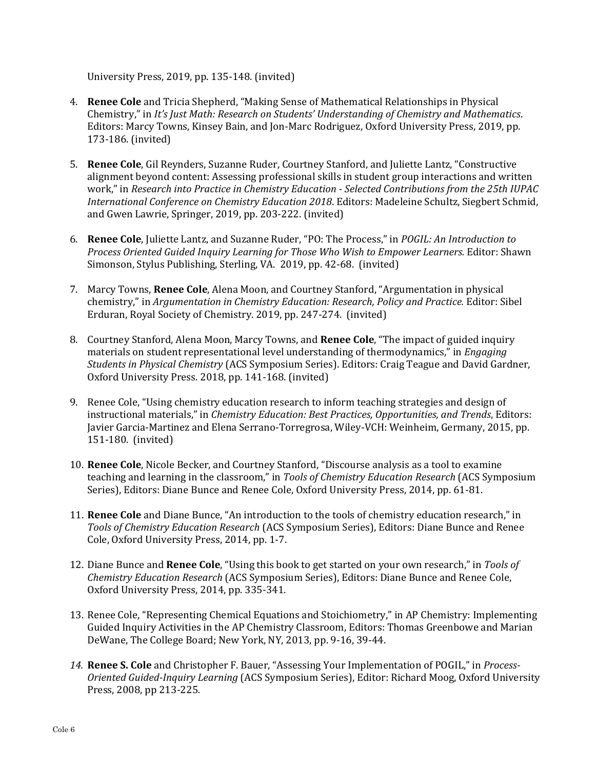University Press, 2019, pp. 135-148. (invited)

- 4. **Renee Cole** and Tricia Shepherd, "Making Sense of Mathematical Relationships in Physical Chemistry," in *It's Just Math: Research on Students' Understanding of Chemistry and Mathematics*. Editors: Marcy Towns, Kinsey Bain, and Jon-Marc Rodriguez, Oxford University Press, 2019, pp. 173-186. (invited)
- 5. **Renee Cole**, Gil Reynders, Suzanne Ruder, Courtney Stanford, and Juliette Lantz, "Constructive alignment beyond content: Assessing professional skills in student group interactions and written work," in *Research into Practice in Chemistry Education ‐ Selected Contributions from the 25th IUPAC International Conference on Chemistry Education 2018*. Editors: Madeleine Schultz, Siegbert Schmid, and Gwen Lawrie, Springer, 2019, pp. 203-222. (invited)
- 6. **Renee Cole**, Juliette Lantz, and Suzanne Ruder, "PO: The Process," in *POGIL: An Introduction to Process Oriented Guided Inquiry Learning for Those Who Wish to Empower Learners.* Editor: Shawn Simonson, Stylus Publishing, Sterling, VA. 2019, pp. 42-68. (invited)
- 7. Marcy Towns, **Renee Cole**, Alena Moon, and Courtney Stanford, "Argumentation in physical chemistry," in *Argumentation in Chemistry Education: Research, Policy and Practice.* Editor: Sibel Erduran, Royal Society of Chemistry. 2019, pp. 247-274. (invited)
- 8. Courtney Stanford, Alena Moon, Marcy Towns, and **Renee Cole**, "The impact of guided inquiry materials on student representational level understanding of thermodynamics," in *Engaging Students in Physical Chemistry* (ACS Symposium Series). Editors: Craig Teague and David Gardner, Oxford University Press. 2018, pp. 141-168. (invited)
- 9. Renee Cole, "Using chemistry education research to inform teaching strategies and design of instructional materials," in *Chemistry Education: Best Practices, Opportunities, and Trends*, Editors: Javier Garcia-Martinez and Elena Serrano-Torregrosa, Wiley-VCH: Weinheim, Germany, 2015, pp. 151-180. (invited)
- 10. **Renee Cole**, Nicole Becker, and Courtney Stanford, "Discourse analysis as a tool to examine teaching and learning in the classroom," in *Tools of Chemistry Education Research* (ACS Symposium Series), Editors: Diane Bunce and Renee Cole, Oxford University Press, 2014, pp. 61-81.
- 11. **Renee Cole** and Diane Bunce, "An introduction to the tools of chemistry education research," in *Tools of Chemistry Education Research* (ACS Symposium Series), Editors: Diane Bunce and Renee Cole, Oxford University Press, 2014, pp. 1-7.
- 12. Diane Bunce and **Renee Cole**, "Using this book to get started on your own research," in *Tools of Chemistry Education Research* (ACS Symposium Series), Editors: Diane Bunce and Renee Cole, Oxford University Press, 2014, pp. 335-341.
- 13. Renee Cole, "Representing Chemical Equations and Stoichiometry," in AP Chemistry: Implementing Guided Inquiry Activities in the AP Chemistry Classroom, Editors: Thomas Greenbowe and Marian DeWane, The College Board; New York, NY, 2013, pp. 9-16, 39-44.
- *14.* **Renee S. Cole** and Christopher F. Bauer, "Assessing Your Implementation of POGIL," in *Process‐ Oriented Guided‐Inquiry Learning* (ACS Symposium Series), Editor: Richard Moog, Oxford University Press, 2008, pp 213-225*.*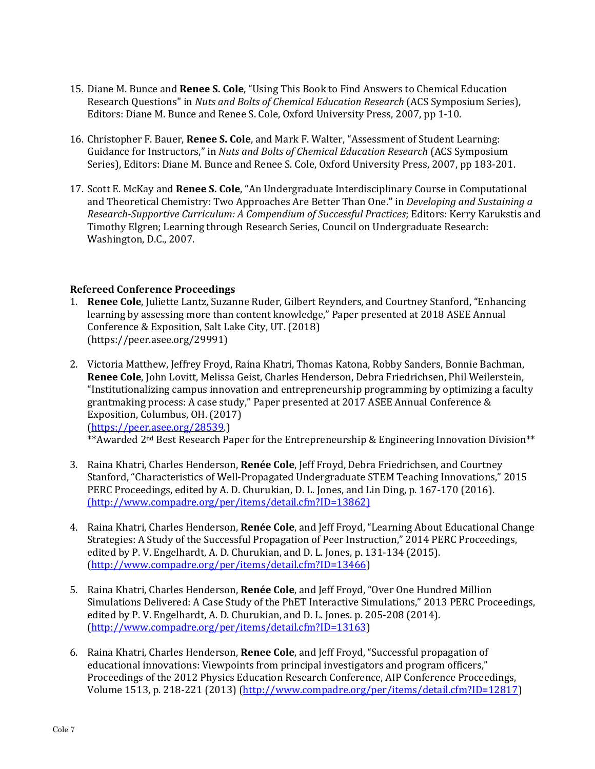- 15. Diane M. Bunce and **Renee S. Cole**, "Using This Book to Find Answers to Chemical Education Research Questions" in *Nuts and Bolts of Chemical Education Research* (ACS Symposium Series), Editors: Diane M. Bunce and Renee S. Cole, Oxford University Press, 2007, pp 1-10.
- 16. Christopher F. Bauer, **Renee S. Cole**, and Mark F. Walter, "Assessment of Student Learning: Guidance for Instructors," in *Nuts and Bolts of Chemical Education Research* (ACS Symposium Series), Editors: Diane M. Bunce and Renee S. Cole, Oxford University Press, 2007, pp 183-201.
- 17. Scott E. McKay and **Renee S. Cole**, "An Undergraduate Interdisciplinary Course in Computational and Theoretical Chemistry: Two Approaches Are Better Than One.**"** in *Developing and Sustaining a Research‐Supportive Curriculum: A Compendium of Successful Practices*; Editors: Kerry Karukstis and Timothy Elgren; Learning through Research Series, Council on Undergraduate Research: Washington, D.C., 2007.

#### **Refereed Conference Proceedings**

- 1. **Renee Cole**, Juliette Lantz, Suzanne Ruder, Gilbert Reynders, and Courtney Stanford, "Enhancing learning by assessing more than content knowledge," Paper presented at 2018 ASEE Annual Conference & Exposition, Salt Lake City, UT. (2018) (https://peer.asee.org/29991)
- 2. Victoria Matthew, Jeffrey Froyd, Raina Khatri, Thomas Katona, Robby Sanders, Bonnie Bachman, **Renee Cole**, John Lovitt, Melissa Geist, Charles Henderson, Debra Friedrichsen, Phil Weilerstein, "Institutionalizing campus innovation and entrepreneurship programming by optimizing a faculty grantmaking process: A case study," Paper presented at 2017 ASEE Annual Conference & Exposition, Columbus, OH. (2017) (https://peer.asee.org/28539.)

\*\* Awarded 2<sup>nd</sup> Best Research Paper for the Entrepreneurship & Engineering Innovation Division\*\*

- 3. Raina Khatri, Charles Henderson, **Renée Cole**, Jeff Froyd, Debra Friedrichsen, and Courtney Stanford, "Characteristics of Well-Propagated Undergraduate STEM Teaching Innovations," 2015 PERC Proceedings, edited by A. D. Churukian, D. L. Jones, and Lin Ding, p. 167-170 (2016). (http://www.compadre.org/per/items/detail.cfm?ID=13862)
- 4. Raina Khatri, Charles Henderson, **Renée Cole**, and Jeff Froyd, "Learning About Educational Change Strategies: A Study of the Successful Propagation of Peer Instruction," 2014 PERC Proceedings, edited by P. V. Engelhardt, A. D. Churukian, and D. L. Jones, p. 131-134 (2015). (http://www.compadre.org/per/items/detail.cfm?ID=13466)
- 5. Raina Khatri, Charles Henderson, **Renée Cole**, and Jeff Froyd, "Over One Hundred Million Simulations Delivered: A Case Study of the PhET Interactive Simulations," 2013 PERC Proceedings, edited by P. V. Engelhardt, A. D. Churukian, and D. L. Jones. p. 205-208 (2014). (http://www.compadre.org/per/items/detail.cfm?ID=13163)
- 6. Raina Khatri, Charles Henderson, **Renee Cole**, and Jeff Froyd, "Successful propagation of educational innovations: Viewpoints from principal investigators and program officers," Proceedings of the 2012 Physics Education Research Conference, AIP Conference Proceedings, Volume 1513, p. 218-221 (2013) (http://www.compadre.org/per/items/detail.cfm?ID=12817)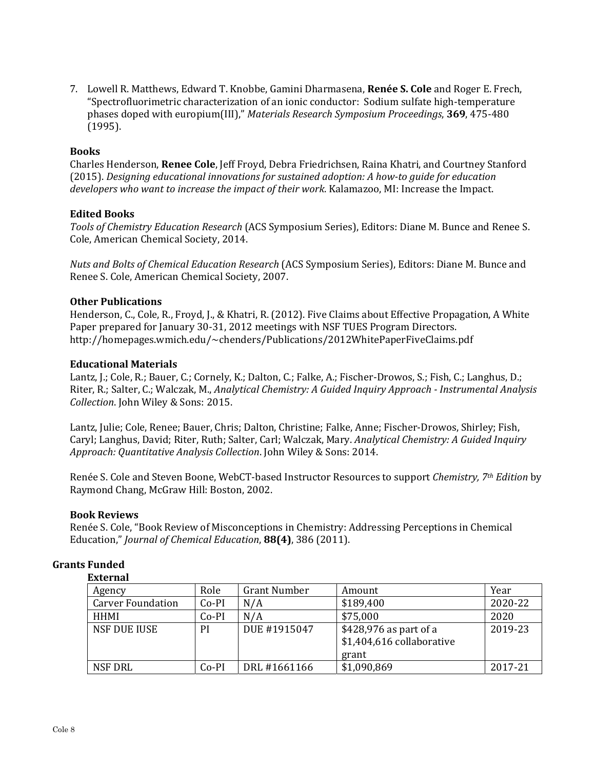7. Lowell R. Matthews, Edward T. Knobbe, Gamini Dharmasena, **Renée S. Cole** and Roger E. Frech, "Spectrofluorimetric characterization of an ionic conductor: Sodium sulfate high-temperature phases doped with europium(III)," *Materials Research Symposium Proceedings*, **369**, 475-480 (1995).

#### **Books**

Charles Henderson, **Renee Cole**, Jeff Froyd, Debra Friedrichsen, Raina Khatri, and Courtney Stanford (2015). *Designing educational innovations for sustained adoption: A how‐to guide for education developers who want to increase the impact of their work*. Kalamazoo, MI: Increase the Impact.

#### **Edited Books**

*Tools of Chemistry Education Research* (ACS Symposium Series), Editors: Diane M. Bunce and Renee S. Cole, American Chemical Society, 2014.

*Nuts and Bolts of Chemical Education Research* (ACS Symposium Series), Editors: Diane M. Bunce and Renee S. Cole, American Chemical Society, 2007.

#### **Other Publications**

Henderson, C., Cole, R., Froyd, J., & Khatri, R. (2012). Five Claims about Effective Propagation, A White Paper prepared for January 30-31, 2012 meetings with NSF TUES Program Directors. http://homepages.wmich.edu/~chenders/Publications/2012WhitePaperFiveClaims.pdf

#### **Educational Materials**

Lantz, J.; Cole, R.; Bauer, C.; Cornely, K.; Dalton, C.; Falke, A.; Fischer-Drowos, S.; Fish, C.; Langhus, D.; Riter, R.; Salter, C.; Walczak, M., *Analytical Chemistry: A Guided Inquiry Approach ‐ Instrumental Analysis Collection*. John Wiley & Sons: 2015.

Lantz, Julie; Cole, Renee; Bauer, Chris; Dalton, Christine; Falke, Anne; Fischer-Drowos, Shirley; Fish, Caryl; Langhus, David; Riter, Ruth; Salter, Carl; Walczak, Mary. *Analytical Chemistry: A Guided Inquiry Approach: Quantitative Analysis Collection*. John Wiley & Sons: 2014.

Renée S. Cole and Steven Boone, WebCT-based Instructor Resources to support *Chemistry, 7th Edition* by Raymond Chang, McGraw Hill: Boston, 2002.

#### **Book Reviews**

Renée S. Cole, "Book Review of Misconceptions in Chemistry: Addressing Perceptions in Chemical Education," *Journal of Chemical Education*, **88(4)**, 386 (2011).

| елісі паг                |         |                     |                                                              |         |
|--------------------------|---------|---------------------|--------------------------------------------------------------|---------|
| Agency                   | Role    | <b>Grant Number</b> | Amount                                                       | Year    |
| <b>Carver Foundation</b> | $Co-PI$ | N/A                 | \$189,400                                                    | 2020-22 |
| <b>HHMI</b>              | $Co-PI$ | N/A                 | \$75,000                                                     | 2020    |
| <b>NSF DUE IUSE</b>      | PI      | DUE #1915047        | \$428,976 as part of a<br>\$1,404,616 collaborative<br>grant | 2019-23 |
| <b>NSF DRL</b>           | $Co-PI$ | DRL #1661166        | \$1,090,869                                                  | 2017-21 |

#### **Grants Funded External**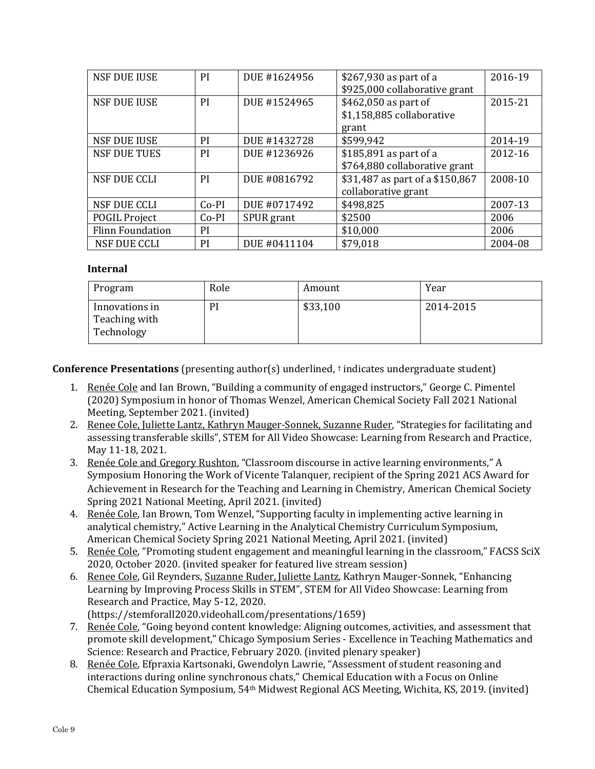| <b>NSF DUE IUSE</b>     | <b>PI</b>     | DUE #1624956 | \$267,930 as part of a          | 2016-19 |
|-------------------------|---------------|--------------|---------------------------------|---------|
|                         |               |              | \$925,000 collaborative grant   |         |
| <b>NSF DUE IUSE</b>     | <b>PI</b>     | DUE #1524965 | \$462,050 as part of            | 2015-21 |
|                         |               |              | \$1,158,885 collaborative       |         |
|                         |               |              | grant                           |         |
| <b>NSF DUE IUSE</b>     | <b>PI</b>     | DUE #1432728 | \$599,942                       | 2014-19 |
| <b>NSF DUE TUES</b>     | PI            | DUE #1236926 | \$185,891 as part of a          | 2012-16 |
|                         |               |              | \$764,880 collaborative grant   |         |
| <b>NSF DUE CCLI</b>     | <b>PI</b>     | DUE #0816792 | \$31,487 as part of a \$150,867 | 2008-10 |
|                         |               |              | collaborative grant             |         |
| <b>NSF DUE CCLI</b>     | $Co-PI$       | DUE #0717492 | \$498,825                       | 2007-13 |
| <b>POGIL Project</b>    | $Co-PI$       | SPUR grant   | \$2500                          | 2006    |
| <b>Flinn Foundation</b> | <sub>PI</sub> |              | \$10,000                        | 2006    |
| <b>NSF DUE CCLI</b>     | PI            | DUE #0411104 | \$79,018                        | 2004-08 |

#### **Internal**

| Program                                       | Role | Amount   | Year      |
|-----------------------------------------------|------|----------|-----------|
| Innovations in<br>Teaching with<br>Technology | PI   | \$33,100 | 2014-2015 |

**Conference Presentations** (presenting author(s) underlined, † indicates undergraduate student)

- 1. Renée Cole and Ian Brown, "Building a community of engaged instructors," George C. Pimentel (2020) Symposium in honor of Thomas Wenzel, American Chemical Society Fall 2021 National Meeting, September 2021. (invited)
- 2. Renee Cole, Juliette Lantz, Kathryn Mauger-Sonnek, Suzanne Ruder, "Strategies for facilitating and assessing transferable skills", STEM for All Video Showcase: Learning from Research and Practice, May 11-18, 2021.
- 3. Renée Cole and Gregory Rushton, "Classroom discourse in active learning environments," A Symposium Honoring the Work of Vicente Talanquer, recipient of the Spring 2021 ACS Award for Achievement in Research for the Teaching and Learning in Chemistry, American Chemical Society Spring 2021 National Meeting, April 2021. (invited)
- 4. Renée Cole, Ian Brown, Tom Wenzel, "Supporting faculty in implementing active learning in analytical chemistry," Active Learning in the Analytical Chemistry Curriculum Symposium, American Chemical Society Spring 2021 National Meeting, April 2021. (invited)
- 5. Renée Cole, "Promoting student engagement and meaningful learning in the classroom," FACSS SciX 2020, October 2020. (invited speaker for featured live stream session)
- 6. Renee Cole, Gil Reynders, Suzanne Ruder, Juliette Lantz, Kathryn Mauger-Sonnek, "Enhancing Learning by Improving Process Skills in STEM", STEM for All Video Showcase: Learning from Research and Practice, May 5-12, 2020. (https://stemforall2020.videohall.com/presentations/1659)
- 7. Renée Cole, "Going beyond content knowledge: Aligning outcomes, activities, and assessment that promote skill development," Chicago Symposium Series - Excellence in Teaching Mathematics and Science: Research and Practice, February 2020. (invited plenary speaker)
- 8. Renée Cole, Efpraxia Kartsonaki, Gwendolyn Lawrie, "Assessment of student reasoning and interactions during online synchronous chats," Chemical Education with a Focus on Online Chemical Education Symposium, 54th Midwest Regional ACS Meeting, Wichita, KS, 2019. (invited)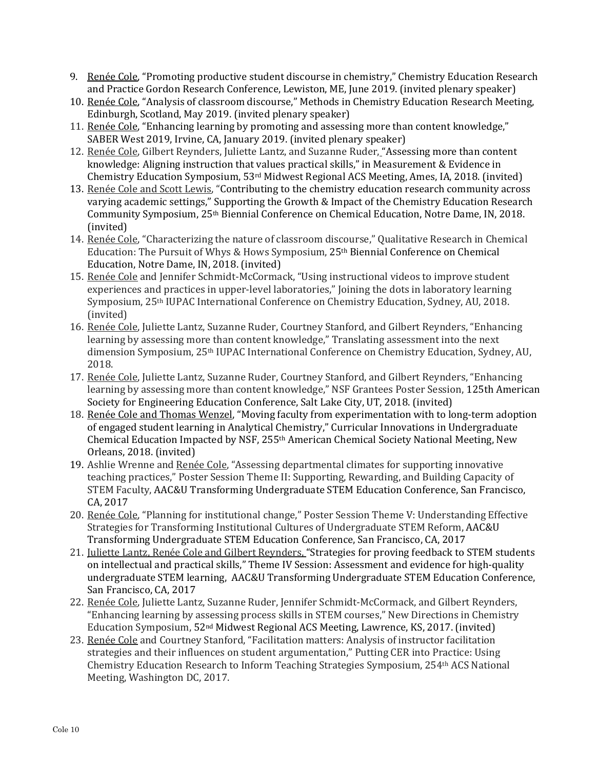- 9. Renée Cole, "Promoting productive student discourse in chemistry," Chemistry Education Research and Practice Gordon Research Conference, Lewiston, ME, June 2019. (invited plenary speaker)
- 10. Renée Cole, "Analysis of classroom discourse," Methods in Chemistry Education Research Meeting, Edinburgh, Scotland, May 2019. (invited plenary speaker)
- 11. Renée Cole, "Enhancing learning by promoting and assessing more than content knowledge," SABER West 2019, Irvine, CA, January 2019. (invited plenary speaker)
- 12. Renée Cole, Gilbert Reynders, Juliette Lantz, and Suzanne Ruder, "Assessing more than content knowledge: Aligning instruction that values practical skills," in Measurement & Evidence in Chemistry Education Symposium, 53rd Midwest Regional ACS Meeting, Ames, IA, 2018. (invited)
- 13. Renée Cole and Scott Lewis, "Contributing to the chemistry education research community across varying academic settings," Supporting the Growth & Impact of the Chemistry Education Research Community Symposium, 25th Biennial Conference on Chemical Education, Notre Dame, IN, 2018. (invited)
- 14. Renée Cole, "Characterizing the nature of classroom discourse," Qualitative Research in Chemical Education: The Pursuit of Whys & Hows Symposium, 25th Biennial Conference on Chemical Education, Notre Dame, IN, 2018. (invited)
- 15. Renée Cole and Jennifer Schmidt-McCormack, "Using instructional videos to improve student experiences and practices in upper-level laboratories," Joining the dots in laboratory learning Symposium, 25th IUPAC International Conference on Chemistry Education, Sydney, AU, 2018. (invited)
- 16. Renée Cole, Juliette Lantz, Suzanne Ruder, Courtney Stanford, and Gilbert Reynders, "Enhancing learning by assessing more than content knowledge," Translating assessment into the next dimension Symposium, 25th IUPAC International Conference on Chemistry Education, Sydney, AU, 2018.
- 17. Renée Cole, Juliette Lantz, Suzanne Ruder, Courtney Stanford, and Gilbert Reynders, "Enhancing learning by assessing more than content knowledge," NSF Grantees Poster Session, 125th American Society for Engineering Education Conference, Salt Lake City, UT, 2018. (invited)
- 18. Renée Cole and Thomas Wenzel, "Moving faculty from experimentation with to long-term adoption of engaged student learning in Analytical Chemistry," Curricular Innovations in Undergraduate Chemical Education Impacted by NSF, 255th American Chemical Society National Meeting, New Orleans, 2018. (invited)
- 19. Ashlie Wrenne and Renée Cole, "Assessing departmental climates for supporting innovative teaching practices," Poster Session Theme II: Supporting, Rewarding, and Building Capacity of STEM Faculty, AAC&U Transforming Undergraduate STEM Education Conference, San Francisco, CA, 2017
- 20. Renée Cole, "Planning for institutional change," Poster Session Theme V: Understanding Effective Strategies for Transforming Institutional Cultures of Undergraduate STEM Reform, AAC&U Transforming Undergraduate STEM Education Conference, San Francisco, CA, 2017
- 21. Juliette Lantz, Renée Cole and Gilbert Reynders, "Strategies for proving feedback to STEM students on intellectual and practical skills," Theme IV Session: Assessment and evidence for high-quality undergraduate STEM learning, AAC&U Transforming Undergraduate STEM Education Conference, San Francisco, CA, 2017
- 22. Renée Cole, Juliette Lantz, Suzanne Ruder, Jennifer Schmidt-McCormack, and Gilbert Reynders, "Enhancing learning by assessing process skills in STEM courses," New Directions in Chemistry Education Symposium, 52nd Midwest Regional ACS Meeting, Lawrence, KS, 2017. (invited)
- 23. Renée Cole and Courtney Stanford, "Facilitation matters: Analysis of instructor facilitation strategies and their influences on student argumentation," Putting CER into Practice: Using Chemistry Education Research to Inform Teaching Strategies Symposium, 254th ACS National Meeting, Washington DC, 2017.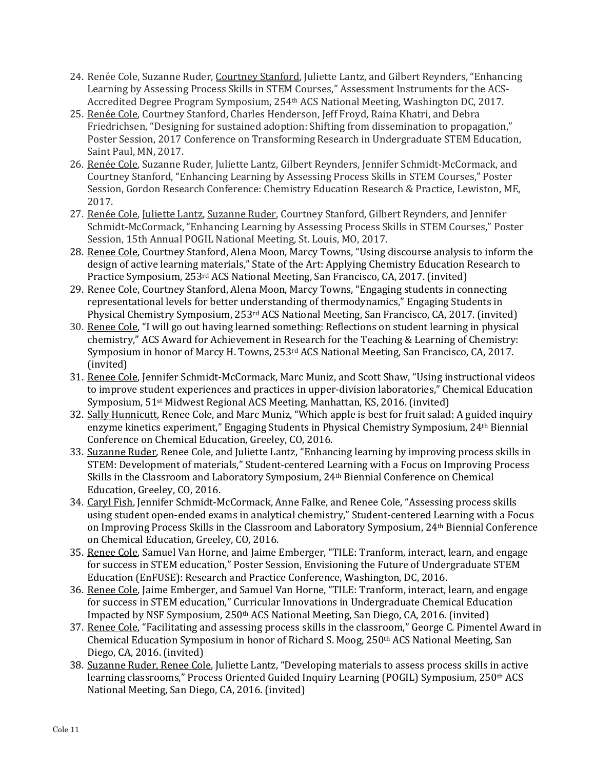- 24. Renée Cole, Suzanne Ruder, Courtney Stanford, Juliette Lantz, and Gilbert Reynders, "Enhancing Learning by Assessing Process Skills in STEM Courses," Assessment Instruments for the ACS-Accredited Degree Program Symposium, 254th ACS National Meeting, Washington DC, 2017.
- 25. Renée Cole, Courtney Stanford, Charles Henderson, Jeff Froyd, Raina Khatri, and Debra Friedrichsen, "Designing for sustained adoption: Shifting from dissemination to propagation," Poster Session, 2017 Conference on Transforming Research in Undergraduate STEM Education, Saint Paul, MN, 2017.
- 26. Renée Cole, Suzanne Ruder, Juliette Lantz, Gilbert Reynders, Jennifer Schmidt-McCormack, and Courtney Stanford, "Enhancing Learning by Assessing Process Skills in STEM Courses," Poster Session, Gordon Research Conference: Chemistry Education Research & Practice, Lewiston, ME, 2017.
- 27. Renée Cole, Juliette Lantz, Suzanne Ruder, Courtney Stanford, Gilbert Reynders, and Jennifer Schmidt-McCormack, "Enhancing Learning by Assessing Process Skills in STEM Courses," Poster Session, 15th Annual POGIL National Meeting, St. Louis, MO, 2017.
- 28. Renee Cole, Courtney Stanford, Alena Moon, Marcy Towns, "Using discourse analysis to inform the design of active learning materials," State of the Art: Applying Chemistry Education Research to Practice Symposium, 253rd ACS National Meeting, San Francisco, CA, 2017. (invited)
- 29. Renee Cole, Courtney Stanford, Alena Moon, Marcy Towns, "Engaging students in connecting representational levels for better understanding of thermodynamics," Engaging Students in Physical Chemistry Symposium, 253rd ACS National Meeting, San Francisco, CA, 2017. (invited)
- 30. Renee Cole, "I will go out having learned something: Reflections on student learning in physical chemistry," ACS Award for Achievement in Research for the Teaching & Learning of Chemistry: Symposium in honor of Marcy H. Towns, 253rd ACS National Meeting, San Francisco, CA, 2017. (invited)
- 31. Renee Cole, Jennifer Schmidt-McCormack, Marc Muniz, and Scott Shaw, "Using instructional videos to improve student experiences and practices in upper-division laboratories," Chemical Education Symposium, 51st Midwest Regional ACS Meeting, Manhattan, KS, 2016. (invited)
- 32. Sally Hunnicutt, Renee Cole, and Marc Muniz, "Which apple is best for fruit salad: A guided inquiry enzyme kinetics experiment," Engaging Students in Physical Chemistry Symposium, 24th Biennial Conference on Chemical Education, Greeley, CO, 2016.
- 33. Suzanne Ruder, Renee Cole, and Juliette Lantz, "Enhancing learning by improving process skills in STEM: Development of materials," Student-centered Learning with a Focus on Improving Process Skills in the Classroom and Laboratory Symposium, 24th Biennial Conference on Chemical Education, Greeley, CO, 2016.
- 34. Caryl Fish, Jennifer Schmidt-McCormack, Anne Falke, and Renee Cole, "Assessing process skills using student open-ended exams in analytical chemistry," Student-centered Learning with a Focus on Improving Process Skills in the Classroom and Laboratory Symposium, 24th Biennial Conference on Chemical Education, Greeley, CO, 2016.
- 35. Renee Cole, Samuel Van Horne, and Jaime Emberger, "TILE: Tranform, interact, learn, and engage for success in STEM education," Poster Session, Envisioning the Future of Undergraduate STEM Education (EnFUSE): Research and Practice Conference, Washington, DC, 2016.
- 36. Renee Cole, Jaime Emberger, and Samuel Van Horne, "TILE: Tranform, interact, learn, and engage for success in STEM education," Curricular Innovations in Undergraduate Chemical Education Impacted by NSF Symposium, 250th ACS National Meeting, San Diego, CA, 2016. (invited)
- 37. Renee Cole, "Facilitating and assessing process skills in the classroom," George C. Pimentel Award in Chemical Education Symposium in honor of Richard S. Moog, 250th ACS National Meeting, San Diego, CA, 2016. (invited)
- 38. Suzanne Ruder, Renee Cole, Juliette Lantz, "Developing materials to assess process skills in active learning classrooms," Process Oriented Guided Inquiry Learning (POGIL) Symposium, 250th ACS National Meeting, San Diego, CA, 2016. (invited)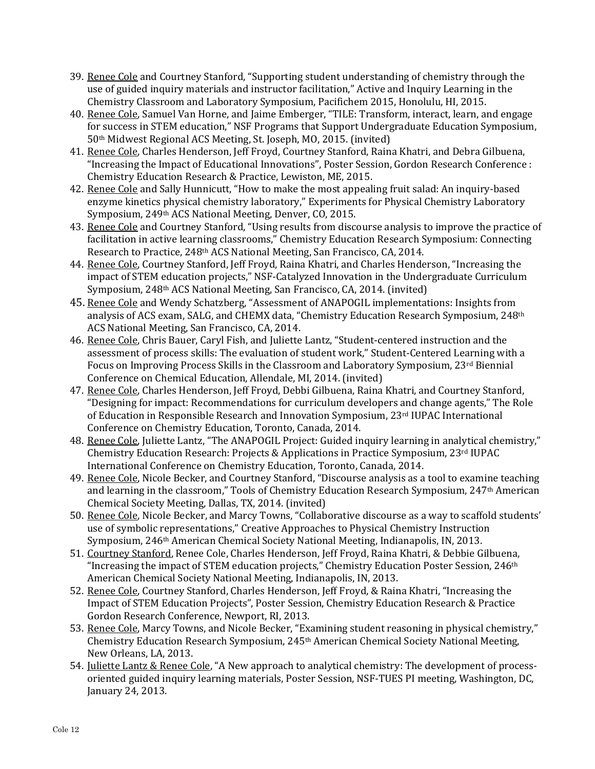- 39. Renee Cole and Courtney Stanford, "Supporting student understanding of chemistry through the use of guided inquiry materials and instructor facilitation," Active and Inquiry Learning in the Chemistry Classroom and Laboratory Symposium, Pacifichem 2015, Honolulu, HI, 2015.
- 40. Renee Cole, Samuel Van Horne, and Jaime Emberger, "TILE: Transform, interact, learn, and engage for success in STEM education," NSF Programs that Support Undergraduate Education Symposium, 50th Midwest Regional ACS Meeting, St. Joseph, MO, 2015. (invited)
- 41. Renee Cole, Charles Henderson, Jeff Froyd, Courtney Stanford, Raina Khatri, and Debra Gilbuena, "Increasing the Impact of Educational Innovations", Poster Session, Gordon Research Conference : Chemistry Education Research & Practice, Lewiston, ME, 2015.
- 42. Renee Cole and Sally Hunnicutt, "How to make the most appealing fruit salad: An inquiry-based enzyme kinetics physical chemistry laboratory," Experiments for Physical Chemistry Laboratory Symposium, 249th ACS National Meeting, Denver, CO, 2015.
- 43. Renee Cole and Courtney Stanford, "Using results from discourse analysis to improve the practice of facilitation in active learning classrooms," Chemistry Education Research Symposium: Connecting Research to Practice, 248th ACS National Meeting, San Francisco, CA, 2014.
- 44. Renee Cole, Courtney Stanford, Jeff Froyd, Raina Khatri, and Charles Henderson, "Increasing the impact of STEM education projects," NSF-Catalyzed Innovation in the Undergraduate Curriculum Symposium, 248th ACS National Meeting, San Francisco, CA, 2014. (invited)
- 45. Renee Cole and Wendy Schatzberg, "Assessment of ANAPOGIL implementations: Insights from analysis of ACS exam, SALG, and CHEMX data, "Chemistry Education Research Symposium, 248th ACS National Meeting, San Francisco, CA, 2014.
- 46. Renee Cole, Chris Bauer, Caryl Fish, and Juliette Lantz, "Student-centered instruction and the assessment of process skills: The evaluation of student work," Student-Centered Learning with a Focus on Improving Process Skills in the Classroom and Laboratory Symposium, 23rd Biennial Conference on Chemical Education, Allendale, MI, 2014. (invited)
- 47. Renee Cole, Charles Henderson, Jeff Froyd, Debbi Gilbuena, Raina Khatri, and Courtney Stanford, "Designing for impact: Recommendations for curriculum developers and change agents," The Role of Education in Responsible Research and Innovation Symposium, 23rd IUPAC International Conference on Chemistry Education, Toronto, Canada, 2014.
- 48. Renee Cole, Juliette Lantz, "The ANAPOGIL Project: Guided inquiry learning in analytical chemistry," Chemistry Education Research: Projects & Applications in Practice Symposium, 23rd IUPAC International Conference on Chemistry Education, Toronto, Canada, 2014.
- 49. Renee Cole, Nicole Becker, and Courtney Stanford, "Discourse analysis as a tool to examine teaching and learning in the classroom," Tools of Chemistry Education Research Symposium, 247th American Chemical Society Meeting, Dallas, TX, 2014. (invited)
- 50. Renee Cole, Nicole Becker, and Marcy Towns, "Collaborative discourse as a way to scaffold students' use of symbolic representations," Creative Approaches to Physical Chemistry Instruction Symposium, 246th American Chemical Society National Meeting, Indianapolis, IN, 2013.
- 51. Courtney Stanford, Renee Cole, Charles Henderson, Jeff Froyd, Raina Khatri, & Debbie Gilbuena, "Increasing the impact of STEM education projects," Chemistry Education Poster Session,  $246<sup>th</sup>$ American Chemical Society National Meeting, Indianapolis, IN, 2013.
- 52. Renee Cole, Courtney Stanford, Charles Henderson, Jeff Froyd, & Raina Khatri, "Increasing the Impact of STEM Education Projects", Poster Session, Chemistry Education Research & Practice Gordon Research Conference, Newport, RI, 2013.
- 53. Renee Cole, Marcy Towns, and Nicole Becker, "Examining student reasoning in physical chemistry," Chemistry Education Research Symposium, 245th American Chemical Society National Meeting, New Orleans, LA, 2013.
- 54. Juliette Lantz & Renee Cole, "A New approach to analytical chemistry: The development of processoriented guided inquiry learning materials, Poster Session, NSF-TUES PI meeting, Washington, DC, January 24, 2013.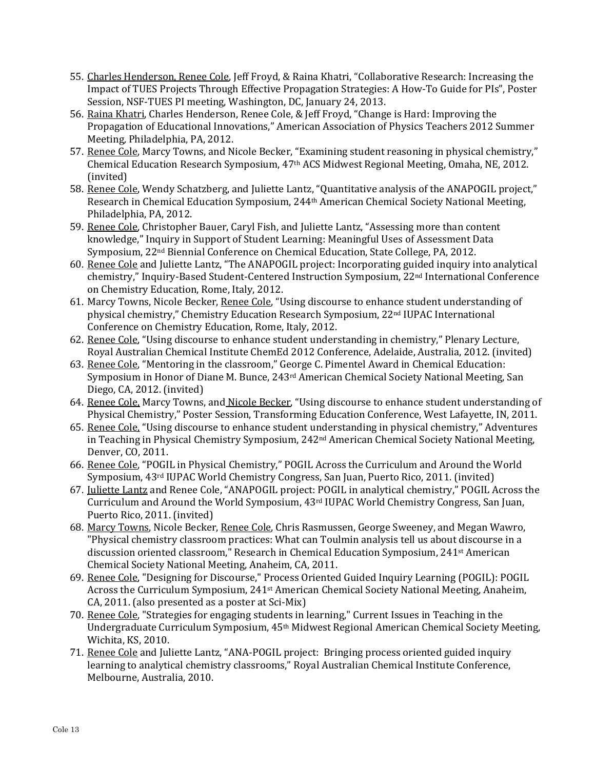- 55. Charles Henderson, Renee Cole, Jeff Froyd, & Raina Khatri, "Collaborative Research: Increasing the Impact of TUES Projects Through Effective Propagation Strategies: A How-To Guide for PIs", Poster Session, NSF-TUES PI meeting, Washington, DC, January 24, 2013.
- 56. Raina Khatri, Charles Henderson, Renee Cole, & Jeff Froyd, "Change is Hard: Improving the Propagation of Educational Innovations," American Association of Physics Teachers 2012 Summer Meeting*,* Philadelphia, PA, 2012.
- 57. Renee Cole, Marcy Towns, and Nicole Becker, "Examining student reasoning in physical chemistry," Chemical Education Research Symposium, 47th ACS Midwest Regional Meeting, Omaha, NE, 2012. (invited)
- 58. Renee Cole, Wendy Schatzberg, and Juliette Lantz, "Quantitative analysis of the ANAPOGIL project," Research in Chemical Education Symposium, 244th American Chemical Society National Meeting, Philadelphia, PA, 2012.
- 59. Renee Cole, Christopher Bauer, Caryl Fish, and Juliette Lantz, "Assessing more than content knowledge," Inquiry in Support of Student Learning: Meaningful Uses of Assessment Data Symposium, 22nd Biennial Conference on Chemical Education, State College, PA, 2012.
- 60. Renee Cole and Juliette Lantz, "The ANAPOGIL project: Incorporating guided inquiry into analytical chemistry," Inquiry-Based Student-Centered Instruction Symposium, 22nd International Conference on Chemistry Education, Rome, Italy, 2012.
- 61. Marcy Towns, Nicole Becker, Renee Cole, "Using discourse to enhance student understanding of physical chemistry," Chemistry Education Research Symposium, 22nd IUPAC International Conference on Chemistry Education, Rome, Italy, 2012.
- 62. Renee Cole, "Using discourse to enhance student understanding in chemistry," Plenary Lecture, Royal Australian Chemical Institute ChemEd 2012 Conference, Adelaide, Australia, 2012. (invited)
- 63. Renee Cole, "Mentoring in the classroom," George C. Pimentel Award in Chemical Education: Symposium in Honor of Diane M. Bunce, 243<sup>rd</sup> American Chemical Society National Meeting, San Diego, CA, 2012. (invited)
- 64. Renee Cole, Marcy Towns, and Nicole Becker, "Using discourse to enhance student understanding of Physical Chemistry," Poster Session, Transforming Education Conference, West Lafayette, IN, 2011.
- 65. Renee Cole, "Using discourse to enhance student understanding in physical chemistry," Adventures in Teaching in Physical Chemistry Symposium, 242<sup>nd</sup> American Chemical Society National Meeting, Denver, CO, 2011.
- 66. Renee Cole, "POGIL in Physical Chemistry," POGIL Across the Curriculum and Around the World Symposium, 43rd IUPAC World Chemistry Congress, San Juan, Puerto Rico, 2011. (invited)
- 67. Juliette Lantz and Renee Cole, "ANAPOGIL project: POGIL in analytical chemistry," POGIL Across the Curriculum and Around the World Symposium, 43rd IUPAC World Chemistry Congress, San Juan, Puerto Rico, 2011. (invited)
- 68. Marcy Towns, Nicole Becker, Renee Cole, Chris Rasmussen, George Sweeney, and Megan Wawro, "Physical chemistry classroom practices: What can Toulmin analysis tell us about discourse in a discussion oriented classroom," Research in Chemical Education Symposium, 241st American Chemical Society National Meeting, Anaheim, CA, 2011.
- 69. Renee Cole, "Designing for Discourse," Process Oriented Guided Inquiry Learning (POGIL): POGIL Across the Curriculum Symposium, 241st American Chemical Society National Meeting, Anaheim, CA, 2011. (also presented as a poster at Sci-Mix)
- 70. Renee Cole, "Strategies for engaging students in learning," Current Issues in Teaching in the Undergraduate Curriculum Symposium, 45th Midwest Regional American Chemical Society Meeting, Wichita, KS, 2010.
- 71. Renee Cole and Juliette Lantz, "ANA-POGIL project: Bringing process oriented guided inquiry learning to analytical chemistry classrooms," Royal Australian Chemical Institute Conference, Melbourne, Australia, 2010.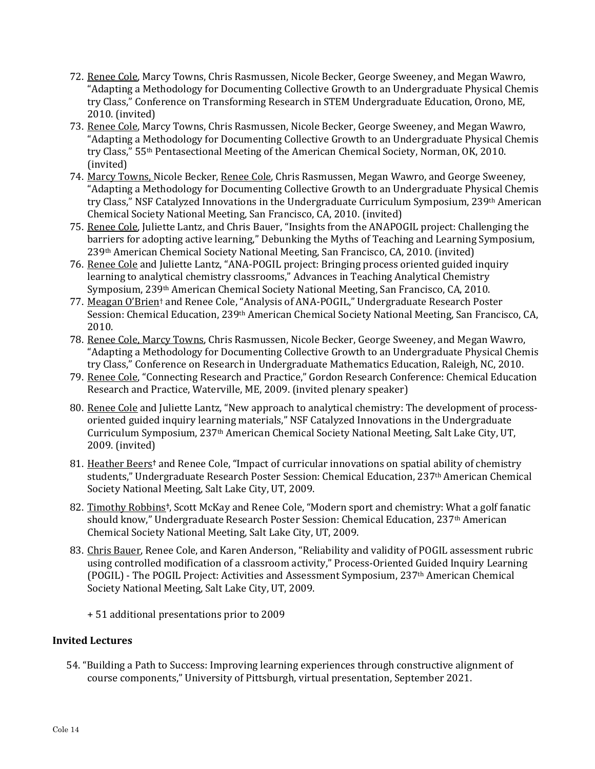- 72. Renee Cole, Marcy Towns, Chris Rasmussen, Nicole Becker, George Sweeney, and Megan Wawro, "Adapting a Methodology for Documenting Collective Growth to an Undergraduate Physical Chemis try Class," Conference on Transforming Research in STEM Undergraduate Education, Orono, ME, 2010. (invited)
- 73. Renee Cole, Marcy Towns, Chris Rasmussen, Nicole Becker, George Sweeney, and Megan Wawro, "Adapting a Methodology for Documenting Collective Growth to an Undergraduate Physical Chemis try Class," 55th Pentasectional Meeting of the American Chemical Society, Norman, OK, 2010. (invited)
- 74. Marcy Towns, Nicole Becker, Renee Cole, Chris Rasmussen, Megan Wawro, and George Sweeney, "Adapting a Methodology for Documenting Collective Growth to an Undergraduate Physical Chemis try Class," NSF Catalyzed Innovations in the Undergraduate Curriculum Symposium, 239th American Chemical Society National Meeting, San Francisco, CA, 2010. (invited)
- 75. Renee Cole, Juliette Lantz, and Chris Bauer, "Insights from the ANAPOGIL project: Challenging the barriers for adopting active learning," Debunking the Myths of Teaching and Learning Symposium, 239th American Chemical Society National Meeting, San Francisco, CA, 2010. (invited)
- 76. Renee Cole and Juliette Lantz, "ANA-POGIL project: Bringing process oriented guided inquiry learning to analytical chemistry classrooms," Advances in Teaching Analytical Chemistry Symposium, 239th American Chemical Society National Meeting, San Francisco, CA, 2010.
- 77. Meagan O'Brien<sup>†</sup> and Renee Cole, "Analysis of ANA-POGIL," Undergraduate Research Poster Session: Chemical Education, 239th American Chemical Society National Meeting, San Francisco, CA, 2010.
- 78. Renee Cole, Marcy Towns, Chris Rasmussen, Nicole Becker, George Sweeney, and Megan Wawro, "Adapting a Methodology for Documenting Collective Growth to an Undergraduate Physical Chemis try Class," Conference on Research in Undergraduate Mathematics Education, Raleigh, NC, 2010.
- 79. Renee Cole, "Connecting Research and Practice," Gordon Research Conference: Chemical Education Research and Practice, Waterville, ME, 2009. (invited plenary speaker)
- 80. Renee Cole and Juliette Lantz, "New approach to analytical chemistry: The development of processoriented guided inquiry learning materials," NSF Catalyzed Innovations in the Undergraduate Curriculum Symposium, 237th American Chemical Society National Meeting, Salt Lake City, UT, 2009. (invited)
- 81. Heather Beers**†** and Renee Cole, "Impact of curricular innovations on spatial ability of chemistry students," Undergraduate Research Poster Session: Chemical Education, 237th American Chemical Society National Meeting, Salt Lake City, UT, 2009.
- 82. Timothy Robbins**†**, Scott McKay and Renee Cole, "Modern sport and chemistry: What a golf fanatic should know," Undergraduate Research Poster Session: Chemical Education, 237th American Chemical Society National Meeting, Salt Lake City, UT, 2009.
- 83. Chris Bauer, Renee Cole, and Karen Anderson, "Reliability and validity of POGIL assessment rubric using controlled modification of a classroom activity," Process-Oriented Guided Inquiry Learning (POGIL) - The POGIL Project: Activities and Assessment Symposium, 237th American Chemical Society National Meeting, Salt Lake City, UT, 2009.
	- + 51 additional presentations prior to 2009

## **Invited Lectures**

54. "Building a Path to Success: Improving learning experiences through constructive alignment of course components," University of Pittsburgh, virtual presentation, September 2021.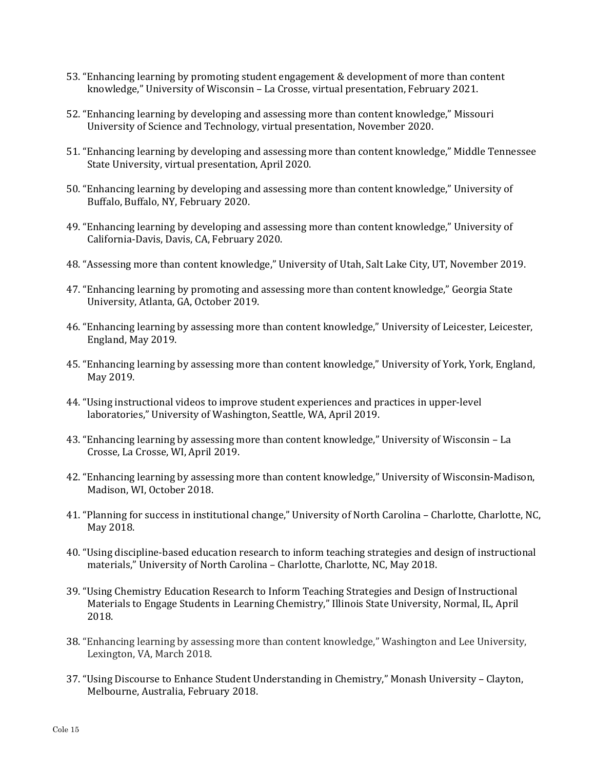- 53. "Enhancing learning by promoting student engagement & development of more than content knowledge," University of Wisconsin – La Crosse, virtual presentation, February 2021.
- 52. "Enhancing learning by developing and assessing more than content knowledge," Missouri University of Science and Technology, virtual presentation, November 2020.
- 51. "Enhancing learning by developing and assessing more than content knowledge," Middle Tennessee State University, virtual presentation, April 2020.
- 50. "Enhancing learning by developing and assessing more than content knowledge," University of Buffalo, Buffalo, NY, February 2020.
- 49. "Enhancing learning by developing and assessing more than content knowledge," University of California-Davis, Davis, CA, February 2020.
- 48. "Assessing more than content knowledge," University of Utah, Salt Lake City, UT, November 2019.
- 47. "Enhancing learning by promoting and assessing more than content knowledge," Georgia State University, Atlanta, GA, October 2019.
- 46. "Enhancing learning by assessing more than content knowledge," University of Leicester, Leicester, England, May 2019.
- 45. "Enhancing learning by assessing more than content knowledge," University of York, York, England, May 2019.
- 44. "Using instructional videos to improve student experiences and practices in upper-level laboratories," University of Washington, Seattle, WA, April 2019.
- 43. "Enhancing learning by assessing more than content knowledge," University of Wisconsin La Crosse, La Crosse, WI, April 2019.
- 42. "Enhancing learning by assessing more than content knowledge," University of Wisconsin-Madison, Madison, WI, October 2018.
- 41. "Planning for success in institutional change," University of North Carolina Charlotte, Charlotte, NC, May 2018.
- 40. "Using discipline-based education research to inform teaching strategies and design of instructional materials," University of North Carolina – Charlotte, Charlotte, NC, May 2018.
- 39. "Using Chemistry Education Research to Inform Teaching Strategies and Design of Instructional Materials to Engage Students in Learning Chemistry," Illinois State University, Normal, IL, April 2018.
- 38. "Enhancing learning by assessing more than content knowledge," Washington and Lee University, Lexington, VA, March 2018.
- 37. "Using Discourse to Enhance Student Understanding in Chemistry," Monash University Clayton, Melbourne, Australia, February 2018.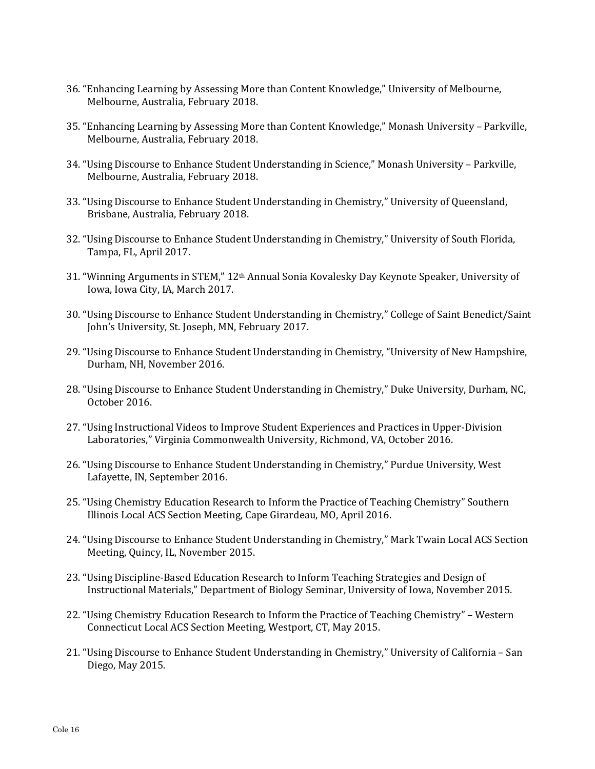- 36. "Enhancing Learning by Assessing More than Content Knowledge," University of Melbourne, Melbourne, Australia, February 2018.
- 35. "Enhancing Learning by Assessing More than Content Knowledge," Monash University Parkville, Melbourne, Australia, February 2018.
- 34. "Using Discourse to Enhance Student Understanding in Science," Monash University Parkville, Melbourne, Australia, February 2018.
- 33. "Using Discourse to Enhance Student Understanding in Chemistry," University of Queensland, Brisbane, Australia, February 2018.
- 32. "Using Discourse to Enhance Student Understanding in Chemistry," University of South Florida, Tampa, FL, April 2017.
- 31. "Winning Arguments in STEM," 12th Annual Sonia Kovalesky Day Keynote Speaker, University of Iowa, Iowa City, IA, March 2017.
- 30. "Using Discourse to Enhance Student Understanding in Chemistry," College of Saint Benedict/Saint John's University, St. Joseph, MN, February 2017.
- 29. "Using Discourse to Enhance Student Understanding in Chemistry, "University of New Hampshire, Durham, NH, November 2016.
- 28. "Using Discourse to Enhance Student Understanding in Chemistry," Duke University, Durham, NC, October 2016.
- 27. "Using Instructional Videos to Improve Student Experiences and Practices in Upper-Division Laboratories," Virginia Commonwealth University, Richmond, VA, October 2016.
- 26. "Using Discourse to Enhance Student Understanding in Chemistry," Purdue University, West Lafayette, IN, September 2016.
- 25. "Using Chemistry Education Research to Inform the Practice of Teaching Chemistry" Southern Illinois Local ACS Section Meeting, Cape Girardeau, MO, April 2016.
- 24. "Using Discourse to Enhance Student Understanding in Chemistry," Mark Twain Local ACS Section Meeting, Quincy, IL, November 2015.
- 23. "Using Discipline-Based Education Research to Inform Teaching Strategies and Design of Instructional Materials," Department of Biology Seminar, University of Iowa, November 2015.
- 22. "Using Chemistry Education Research to Inform the Practice of Teaching Chemistry" Western Connecticut Local ACS Section Meeting, Westport, CT, May 2015.
- 21. "Using Discourse to Enhance Student Understanding in Chemistry," University of California San Diego, May 2015.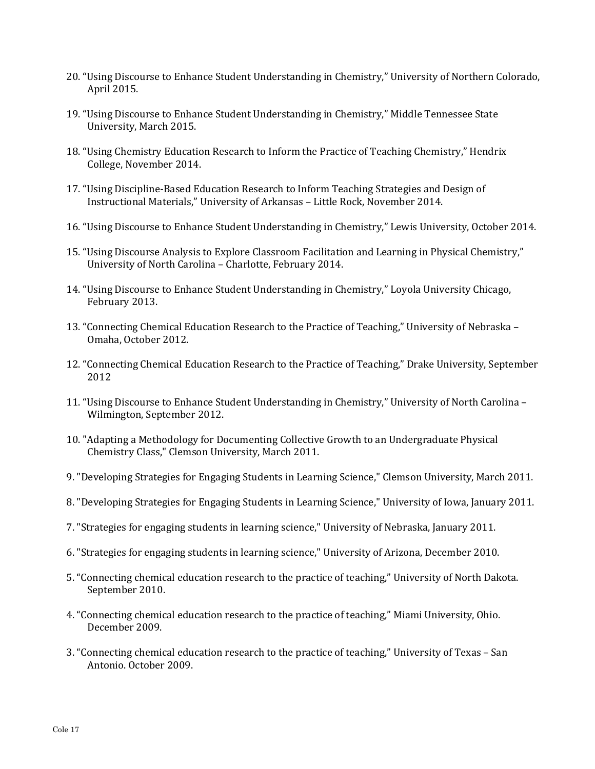- 20. "Using Discourse to Enhance Student Understanding in Chemistry," University of Northern Colorado, April 2015.
- 19. "Using Discourse to Enhance Student Understanding in Chemistry," Middle Tennessee State University, March 2015.
- 18. "Using Chemistry Education Research to Inform the Practice of Teaching Chemistry," Hendrix College, November 2014.
- 17. "Using Discipline-Based Education Research to Inform Teaching Strategies and Design of Instructional Materials," University of Arkansas – Little Rock, November 2014.
- 16. "Using Discourse to Enhance Student Understanding in Chemistry," Lewis University, October 2014.
- 15. "Using Discourse Analysis to Explore Classroom Facilitation and Learning in Physical Chemistry," University of North Carolina – Charlotte, February 2014.
- 14. "Using Discourse to Enhance Student Understanding in Chemistry," Loyola University Chicago, February 2013.
- 13. "Connecting Chemical Education Research to the Practice of Teaching," University of Nebraska Omaha, October 2012.
- 12. "Connecting Chemical Education Research to the Practice of Teaching," Drake University, September 2012
- 11. "Using Discourse to Enhance Student Understanding in Chemistry," University of North Carolina Wilmington, September 2012.
- 10. "Adapting a Methodology for Documenting Collective Growth to an Undergraduate Physical Chemistry Class," Clemson University, March 2011.
- 9. "Developing Strategies for Engaging Students in Learning Science," Clemson University, March 2011.
- 8. "Developing Strategies for Engaging Students in Learning Science," University of Iowa, January 2011.
- 7. "Strategies for engaging students in learning science," University of Nebraska, January 2011.
- 6. "Strategies for engaging students in learning science," University of Arizona, December 2010.
- 5. "Connecting chemical education research to the practice of teaching," University of North Dakota. September 2010.
- 4. "Connecting chemical education research to the practice of teaching," Miami University, Ohio. December 2009.
- 3. "Connecting chemical education research to the practice of teaching," University of Texas San Antonio. October 2009.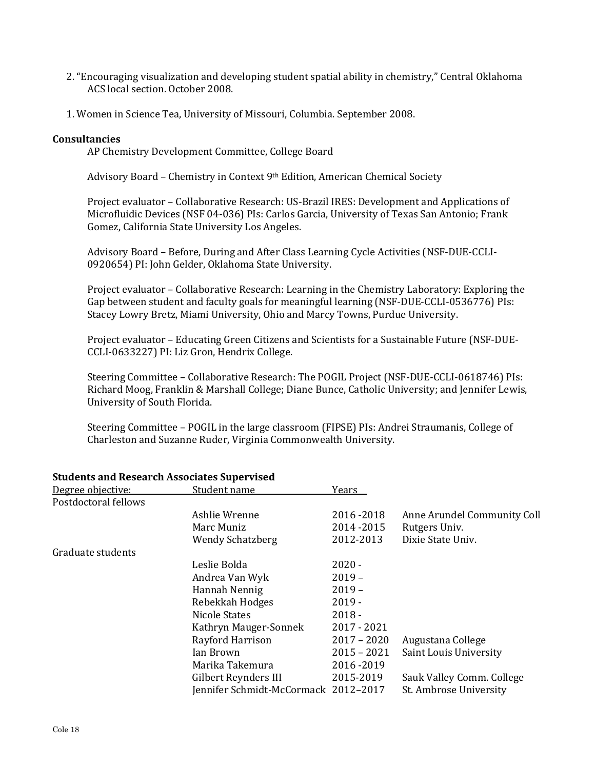- 2. "Encouraging visualization and developing student spatial ability in chemistry," Central Oklahoma ACS local section. October 2008.
- 1. Women in Science Tea, University of Missouri, Columbia. September 2008.

#### **Consultancies**

AP Chemistry Development Committee, College Board

Advisory Board - Chemistry in Context 9<sup>th</sup> Edition, American Chemical Society

Project evaluator – Collaborative Research: US-Brazil IRES: Development and Applications of Microfluidic Devices (NSF 04-036) PIs: Carlos Garcia, University of Texas San Antonio; Frank Gomez, California State University Los Angeles.

Advisory Board – Before, During and After Class Learning Cycle Activities (NSF-DUE-CCLI-0920654) PI: John Gelder, Oklahoma State University.

Project evaluator – Collaborative Research: Learning in the Chemistry Laboratory: Exploring the Gap between student and faculty goals for meaningful learning (NSF-DUE-CCLI-0536776) PIs: Stacey Lowry Bretz, Miami University, Ohio and Marcy Towns, Purdue University.

Project evaluator – Educating Green Citizens and Scientists for a Sustainable Future (NSF-DUE-CCLI-0633227) PI: Liz Gron, Hendrix College.

Steering Committee – Collaborative Research: The POGIL Project (NSF-DUE-CCLI-0618746) PIs: Richard Moog, Franklin & Marshall College; Diane Bunce, Catholic University; and Jennifer Lewis, University of South Florida.

Steering Committee – POGIL in the large classroom (FIPSE) PIs: Andrei Straumanis, College of Charleston and Suzanne Ruder, Virginia Commonwealth University.

| Students and Research Associates Supervised |                                      |               |                             |
|---------------------------------------------|--------------------------------------|---------------|-----------------------------|
| Degree objective:                           | Student name                         | Years         |                             |
| Postdoctoral fellows                        |                                      |               |                             |
|                                             | Ashlie Wrenne                        | 2016-2018     | Anne Arundel Community Coll |
|                                             | Marc Muniz                           | 2014-2015     | Rutgers Univ.               |
|                                             | <b>Wendy Schatzberg</b>              | 2012-2013     | Dixie State Univ.           |
| Graduate students                           |                                      |               |                             |
|                                             | Leslie Bolda                         | $2020 -$      |                             |
|                                             | Andrea Van Wyk                       | $2019 -$      |                             |
|                                             | Hannah Nennig                        | $2019 -$      |                             |
|                                             | Rebekkah Hodges                      | 2019 -        |                             |
|                                             | Nicole States                        | $2018 -$      |                             |
|                                             | Kathryn Mauger-Sonnek                | $2017 - 2021$ |                             |
|                                             | Rayford Harrison                     | $2017 - 2020$ | Augustana College           |
|                                             | Ian Brown                            | $2015 - 2021$ | Saint Louis University      |
|                                             | Marika Takemura                      | 2016-2019     |                             |
|                                             | Gilbert Reynders III                 | 2015-2019     | Sauk Valley Comm. College   |
|                                             | Jennifer Schmidt-McCormack 2012-2017 |               | St. Ambrose University      |
|                                             |                                      |               |                             |

## **Students and Research Associates Supervised**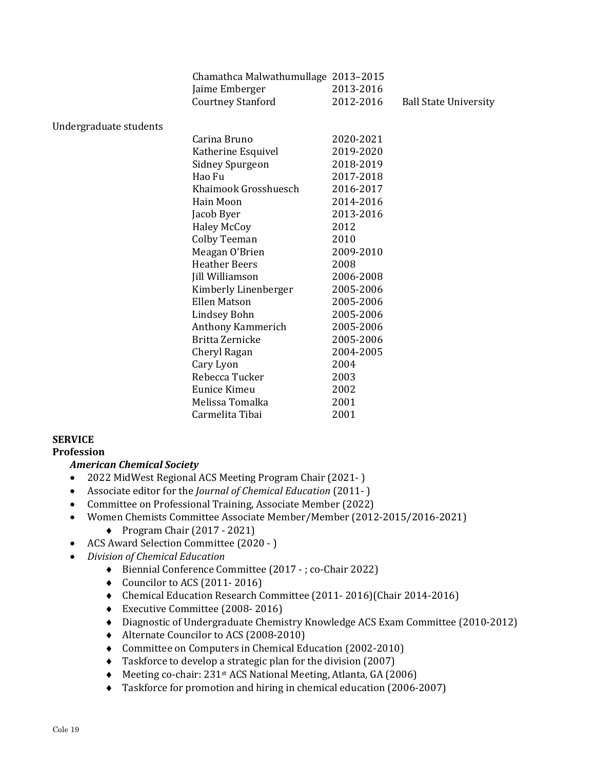|                        | Chamathca Malwathumullage 2013-2015 |           |                              |
|------------------------|-------------------------------------|-----------|------------------------------|
|                        | Jaime Emberger                      | 2013-2016 |                              |
|                        | <b>Courtney Stanford</b>            | 2012-2016 | <b>Ball State University</b> |
|                        |                                     |           |                              |
| Undergraduate students |                                     |           |                              |
|                        | Carina Bruno                        | 2020-2021 |                              |
|                        | Katherine Esquivel                  | 2019-2020 |                              |
|                        | Sidney Spurgeon                     | 2018-2019 |                              |
|                        | Hao Fu                              | 2017-2018 |                              |
|                        | Khaimook Grosshuesch                | 2016-2017 |                              |
|                        | Hain Moon                           | 2014-2016 |                              |
|                        | Jacob Byer                          | 2013-2016 |                              |
|                        | <b>Haley McCoy</b>                  | 2012      |                              |
|                        | Colby Teeman                        | 2010      |                              |
|                        | Meagan O'Brien                      | 2009-2010 |                              |
|                        | <b>Heather Beers</b>                | 2008      |                              |
|                        | Jill Williamson                     | 2006-2008 |                              |
|                        | Kimberly Linenberger                | 2005-2006 |                              |
|                        | <b>Ellen Matson</b>                 | 2005-2006 |                              |
|                        | Lindsey Bohn                        | 2005-2006 |                              |
|                        | Anthony Kammerich                   | 2005-2006 |                              |
|                        | Britta Zernicke                     | 2005-2006 |                              |
|                        | Cheryl Ragan                        | 2004-2005 |                              |
|                        | Cary Lyon                           | 2004      |                              |
|                        | Rebecca Tucker                      | 2003      |                              |
|                        | Eunice Kimeu                        | 2002      |                              |
|                        | Melissa Tomalka                     | 2001      |                              |
|                        | Carmelita Tibai                     | 2001      |                              |
|                        |                                     |           |                              |

## **SERVICE**

## **Profession**

## *American Chemical Society*

- 2022 MidWest Regional ACS Meeting Program Chair (2021- )
- Associate editor for the *Journal of Chemical Education* (2011- )
- Committee on Professional Training, Associate Member (2022)
- Women Chemists Committee Associate Member/Member (2012-2015/2016-2021)
	- $\blacklozenge$  Program Chair (2017 2021)
- ACS Award Selection Committee (2020 )
- *Division of Chemical Education* 
	- Biennial Conference Committee (2017 ; co-Chair 2022)
	- $\bullet$  Councilor to ACS (2011-2016)
	- Chemical Education Research Committee (2011- 2016)(Chair 2014-2016)
	- Executive Committee (2008- 2016)
	- Diagnostic of Undergraduate Chemistry Knowledge ACS Exam Committee (2010-2012)
	- ◆ Alternate Councilor to ACS (2008-2010)
	- Committee on Computers in Chemical Education (2002-2010)
	- Taskforce to develop a strategic plan for the division (2007)
	- Meeting co-chair: 231st ACS National Meeting, Atlanta, GA (2006)
	- Taskforce for promotion and hiring in chemical education (2006-2007)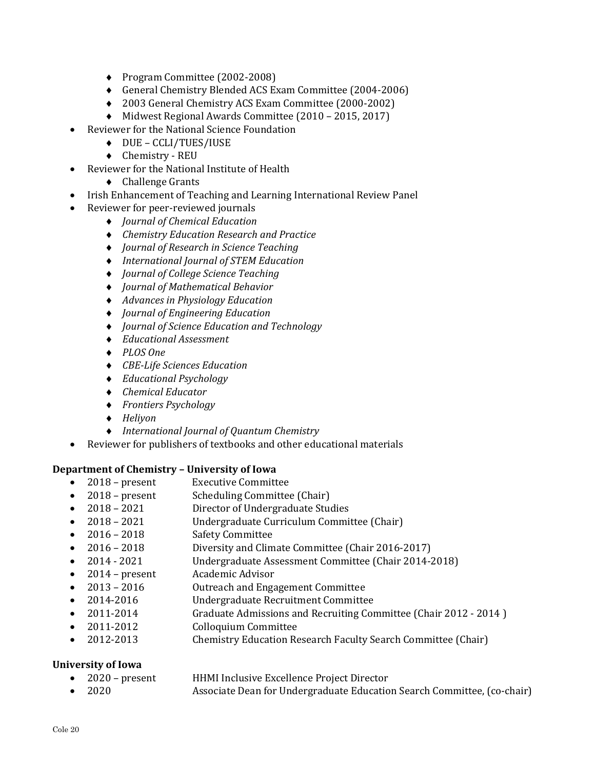- ◆ Program Committee (2002-2008)
- General Chemistry Blended ACS Exam Committee (2004-2006)
- 2003 General Chemistry ACS Exam Committee (2000-2002)
- Midwest Regional Awards Committee (2010 2015, 2017)
- Reviewer for the National Science Foundation
	- DUE CCLI/TUES/IUSE
	- Chemistry REU
- Reviewer for the National Institute of Health
	- ◆ Challenge Grants
- Irish Enhancement of Teaching and Learning International Review Panel
- Reviewer for peer-reviewed journals
	- *Journal of Chemical Education*
	- *Chemistry Education Research and Practice*
	- *Journal of Research in Science Teaching*
	- *International Journal of STEM Education*
	- *Journal of College Science Teaching*
	- *Journal of Mathematical Behavior*
	- *Advances in Physiology Education*
	- *Journal of Engineering Education*
	- *Journal of Science Education and Technology*
	- *Educational Assessment*
	- *PLOS One*
	- *CBE‐Life Sciences Education*
	- *Educational Psychology*
	- *Chemical Educator*
	- *Frontiers Psychology*
	- *Heliyon*
	- *International Journal of Quantum Chemistry*
- Reviewer for publishers of textbooks and other educational materials

#### **Department of Chemistry – University of Iowa**

- 2018 present Executive Committee
- 2018 present Scheduling Committee (Chair)
- 2018 2021 Director of Undergraduate Studies
- 2018 2021 Undergraduate Curriculum Committee (Chair)
- 2016 2018 Safety Committee
- 2016 2018 Diversity and Climate Committee (Chair 2016-2017)
- 2014 2021 Undergraduate Assessment Committee (Chair 2014-2018)
- 2014 present Academic Advisor
- 2013 2016 Outreach and Engagement Committee
- 2014-2016 Undergraduate Recruitment Committee
- 2011-2014 Graduate Admissions and Recruiting Committee (Chair 2012 2014 )
- 2011-2012 Colloquium Committee
- 2012-2013 Chemistry Education Research Faculty Search Committee (Chair)

## **University of Iowa**

- 2020 present HHMI Inclusive Excellence Project Director
- 2020 Associate Dean for Undergraduate Education Search Committee, (co-chair)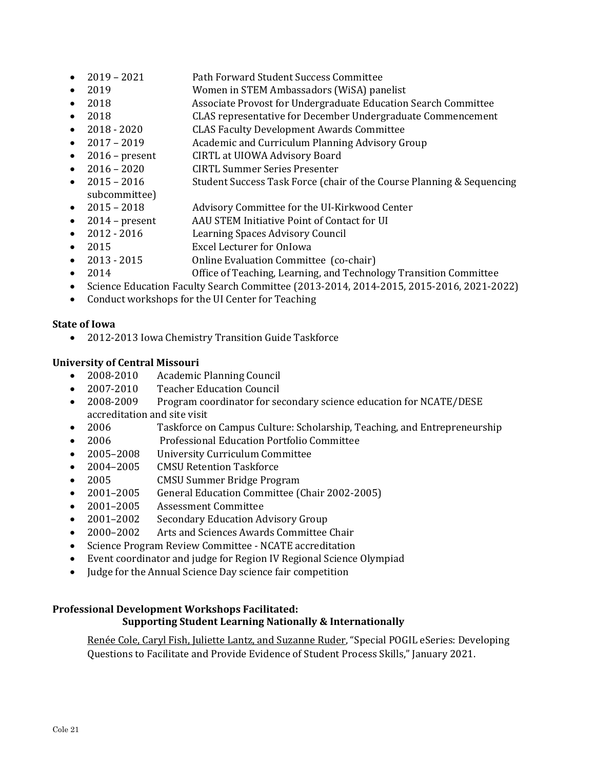- 2019 2021 Path Forward Student Success Committee
- 2019 Women in STEM Ambassadors (WiSA) panelist
- 2018 Associate Provost for Undergraduate Education Search Committee
- 2018 CLAS representative for December Undergraduate Commencement
- 2018 2020 CLAS Faculty Development Awards Committee
- 2017 2019 Academic and Curriculum Planning Advisory Group
- 2016 present CIRTL at UIOWA Advisory Board
- 2016 2020 CIRTL Summer Series Presenter
- 2015 2016 Student Success Task Force (chair of the Course Planning & Sequencing subcommittee)
- 2015 2018 Advisory Committee for the UI-Kirkwood Center
- 2014 present AAU STEM Initiative Point of Contact for UI
- 2012 2016 Learning Spaces Advisory Council
- 2015 Excel Lecturer for OnIowa
- 2013 2015 Online Evaluation Committee (co-chair)
- 2014 Office of Teaching, Learning, and Technology Transition Committee
- Science Education Faculty Search Committee (2013-2014, 2014-2015, 2015-2016, 2021-2022)
- Conduct workshops for the UI Center for Teaching

## **State of Iowa**

2012-2013 Iowa Chemistry Transition Guide Taskforce

# **University of Central Missouri**

- 2008-2010 Academic Planning Council
- 2007-2010 Teacher Education Council
- 2008-2009 Program coordinator for secondary science education for NCATE/DESE accreditation and site visit
- 2006 Taskforce on Campus Culture: Scholarship, Teaching, and Entrepreneurship
- 2006 Professional Education Portfolio Committee
- 2005–2008 University Curriculum Committee
- 2004–2005 CMSU Retention Taskforce
- 2005 CMSU Summer Bridge Program
- 2001–2005 General Education Committee (Chair 2002-2005)
- 2001–2005 Assessment Committee
- 2001–2002 Secondary Education Advisory Group
- 2000–2002 Arts and Sciences Awards Committee Chair
- Science Program Review Committee NCATE accreditation
- Event coordinator and judge for Region IV Regional Science Olympiad
- Judge for the Annual Science Day science fair competition

## **Professional Development Workshops Facilitated: Supporting Student Learning Nationally & Internationally**

Renée Cole, Caryl Fish, Juliette Lantz, and Suzanne Ruder, "Special POGIL eSeries: Developing Questions to Facilitate and Provide Evidence of Student Process Skills," January 2021.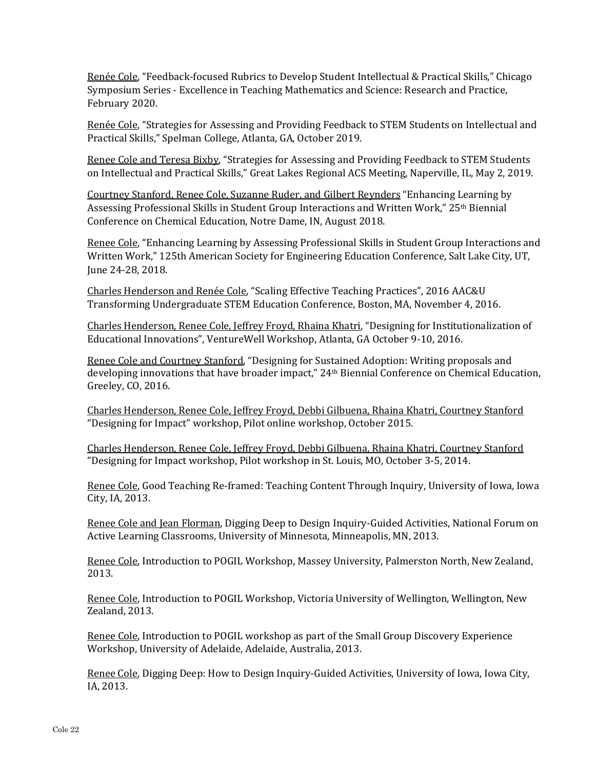Renée Cole, "Feedback-focused Rubrics to Develop Student Intellectual & Practical Skills," Chicago Symposium Series - Excellence in Teaching Mathematics and Science: Research and Practice, February 2020.

Renée Cole, "Strategies for Assessing and Providing Feedback to STEM Students on Intellectual and Practical Skills," Spelman College, Atlanta, GA, October 2019.

Renee Cole and Teresa Bixby, "Strategies for Assessing and Providing Feedback to STEM Students on Intellectual and Practical Skills," Great Lakes Regional ACS Meeting, Naperville, IL, May 2, 2019.

Courtney Stanford, Renee Cole, Suzanne Ruder, and Gilbert Reynders "Enhancing Learning by Assessing Professional Skills in Student Group Interactions and Written Work," 25th Biennial Conference on Chemical Education, Notre Dame, IN, August 2018.

Renee Cole, "Enhancing Learning by Assessing Professional Skills in Student Group Interactions and Written Work," 125th American Society for Engineering Education Conference, Salt Lake City, UT, June 24-28, 2018.

Charles Henderson and Renée Cole, "Scaling Effective Teaching Practices", 2016 AAC&U Transforming Undergraduate STEM Education Conference, Boston, MA, November 4, 2016.

Charles Henderson, Renee Cole, Jeffrey Froyd, Rhaina Khatri, "Designing for Institutionalization of Educational Innovations", VentureWell Workshop, Atlanta, GA October 9-10, 2016.

Renee Cole and Courtney Stanford, "Designing for Sustained Adoption: Writing proposals and developing innovations that have broader impact," 24th Biennial Conference on Chemical Education, Greeley, CO, 2016.

Charles Henderson, Renee Cole, Jeffrey Froyd, Debbi Gilbuena, Rhaina Khatri, Courtney Stanford "Designing for Impact" workshop, Pilot online workshop, October 2015.

Charles Henderson, Renee Cole, Jeffrey Froyd, Debbi Gilbuena, Rhaina Khatri, Courtney Stanford "Designing for Impact workshop, Pilot workshop in St. Louis, MO, October 3-5, 2014.

Renee Cole, Good Teaching Re-framed: Teaching Content Through Inquiry, University of Iowa, Iowa City, IA, 2013.

Renee Cole and Jean Florman, Digging Deep to Design Inquiry-Guided Activities, National Forum on Active Learning Classrooms, University of Minnesota, Minneapolis, MN, 2013.

Renee Cole, Introduction to POGIL Workshop, Massey University, Palmerston North, New Zealand, 2013.

Renee Cole, Introduction to POGIL Workshop, Victoria University of Wellington, Wellington, New Zealand, 2013.

Renee Cole, Introduction to POGIL workshop as part of the Small Group Discovery Experience Workshop, University of Adelaide, Adelaide, Australia, 2013.

Renee Cole, Digging Deep: How to Design Inquiry-Guided Activities, University of Iowa, Iowa City, IA, 2013.